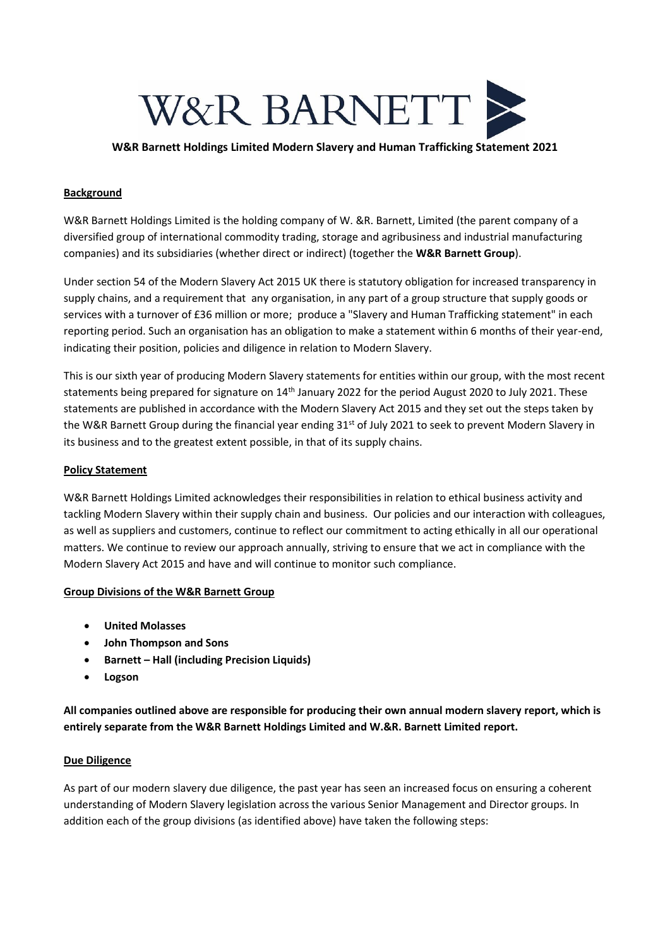

# **W&R Barnett Holdings Limited Modern Slavery and Human Trafficking Statement 2021**

# **Background**

W&R Barnett Holdings Limited is the holding company of W. &R. Barnett, Limited (the parent company of a diversified group of international commodity trading, storage and agribusiness and industrial manufacturing companies) and its subsidiaries (whether direct or indirect) (together the **W&R Barnett Group**).

Under section 54 of the Modern Slavery Act 2015 UK there is statutory obligation for increased transparency in supply chains, and a requirement that any organisation, in any part of a group structure that supply goods or services with a turnover of £36 million or more; produce a "Slavery and Human Trafficking statement" in each reporting period. Such an organisation has an obligation to make a statement within 6 months of their year-end, indicating their position, policies and diligence in relation to Modern Slavery.

This is our sixth year of producing Modern Slavery statements for entities within our group, with the most recent statements being prepared for signature on 14<sup>th</sup> January 2022 for the period August 2020 to July 2021. These statements are published in accordance with the Modern Slavery Act 2015 and they set out the steps taken by the W&R Barnett Group during the financial year ending 31<sup>st</sup> of July 2021 to seek to prevent Modern Slavery in its business and to the greatest extent possible, in that of its supply chains.

### **Policy Statement**

W&R Barnett Holdings Limited acknowledges their responsibilities in relation to ethical business activity and tackling Modern Slavery within their supply chain and business. Our policies and our interaction with colleagues, as well as suppliers and customers, continue to reflect our commitment to acting ethically in all our operational matters. We continue to review our approach annually, striving to ensure that we act in compliance with the Modern Slavery Act 2015 and have and will continue to monitor such compliance.

#### **Group Divisions of the W&R Barnett Group**

- **United Molasses**
- **John Thompson and Sons**
- **Barnett – Hall (including Precision Liquids)**
- **Logson**

**All companies outlined above are responsible for producing their own annual modern slavery report, which is entirely separate from the W&R Barnett Holdings Limited and W.&R. Barnett Limited report.**

#### **Due Diligence**

As part of our modern slavery due diligence, the past year has seen an increased focus on ensuring a coherent understanding of Modern Slavery legislation across the various Senior Management and Director groups. In addition each of the group divisions (as identified above) have taken the following steps: